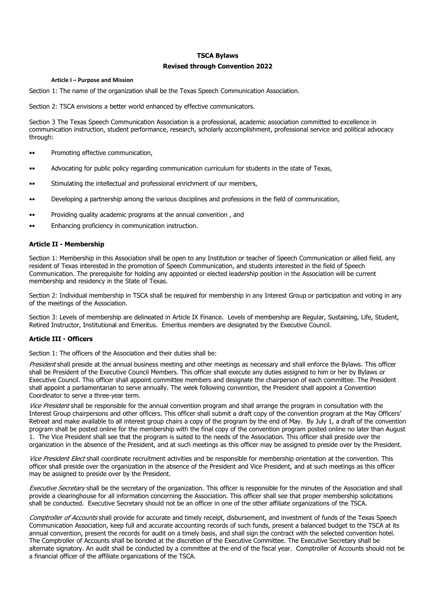### **TSCA Bylaws**

# **Revised through Convention 2022**

#### **Article I – Purpose and Mission**

Section 1: The name of the organization shall be the Texas Speech Communication Association.

Section 2: TSCA envisions a better world enhanced by effective communicators.

Section 3 The Texas Speech Communication Association is a professional, academic association committed to excellence in communication instruction, student performance, research, scholarly accomplishment, professional service and political advocacy through:

- •• Promoting effective communication,
- •• Advocating for public policy regarding communication curriculum for students in the state of Texas,
- •• Stimulating the intellectual and professional enrichment of our members,
- •• Developing a partnership among the various disciplines and professions in the field of communication,
- •• Providing quality academic programs at the annual convention , and
- •• Enhancing proficiency in communication instruction.

# **Article II - Membership**

Section 1: Membership in this Association shall be open to any Institution or teacher of Speech Communication or allied field, any resident of Texas interested in the promotion of Speech Communication, and students interested in the field of Speech Communication. The prerequisite for holding any appointed or elected leadership position in the Association will be current membership and residency in the State of Texas.

Section 2: Individual membership in TSCA shall be required for membership in any Interest Group or participation and voting in any of the meetings of the Association.

Section 3: Levels of membership are delineated in Article IX Finance. Levels of membership are Regular, Sustaining, Life, Student, Retired Instructor, Institutional and Emeritus. Emeritus members are designated by the Executive Council.

# **Article III - Officers**

Section 1: The officers of the Association and their duties shall be:

President shall preside at the annual business meeting and other meetings as necessary and shall enforce the Bylaws. This officer shall be President of the Executive Council Members. This officer shall execute any duties assigned to him or her by Bylaws or Executive Council. This officer shall appoint committee members and designate the chairperson of each committee. The President shall appoint a parliamentarian to serve annually. The week following convention, the President shall appoint a Convention Coordinator to serve a three-year term.

Vice President shall be responsible for the annual convention program and shall arrange the program in consultation with the Interest Group chairpersons and other officers. This officer shall submit a draft copy of the convention program at the May Officers' Retreat and make available to all interest group chairs a copy of the program by the end of May. By July 1, a draft of the convention program shall be posted online for the membership with the final copy of the convention program posted online no later than August 1. The Vice President shall see that the program is suited to the needs of the Association. This officer shall preside over the organization in the absence of the President, and at such meetings as this officer may be assigned to preside over by the President.

Vice President Elect shall coordinate recruitment activities and be responsible for membership orientation at the convention. This officer shall preside over the organization in the absence of the President and Vice President, and at such meetings as this officer may be assigned to preside over by the President.

Executive Secretary shall be the secretary of the organization. This officer is responsible for the minutes of the Association and shall provide a clearinghouse for all information concerning the Association. This officer shall see that proper membership solicitations shall be conducted. Executive Secretary should not be an officer in one of the other affiliate organizations of the TSCA.

Comptroller of Accounts shall provide for accurate and timely receipt, disbursement, and investment of funds of the Texas Speech Communication Association, keep full and accurate accounting records of such funds, present a balanced budget to the TSCA at its annual convention, present the records for audit on a timely basis, and shall sign the contract with the selected convention hotel. The Comptroller of Accounts shall be bonded at the discretion of the Executive Committee. The Executive Secretary shall be alternate signatory. An audit shall be conducted by a committee at the end of the fiscal year. Comptroller of Accounts should not be a financial officer of the affiliate organizations of the TSCA.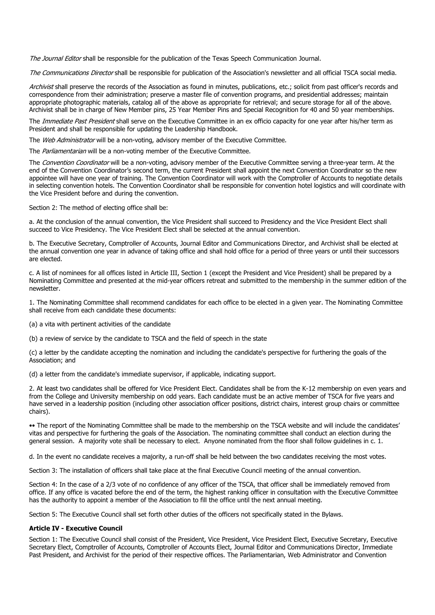The Journal Editor shall be responsible for the publication of the Texas Speech Communication Journal.

The Communications Director shall be responsible for publication of the Association's newsletter and all official TSCA social media.

Archivist shall preserve the records of the Association as found in minutes, publications, etc.; solicit from past officer's records and correspondence from their administration; preserve a master file of convention programs, and presidential addresses; maintain appropriate photographic materials, catalog all of the above as appropriate for retrieval; and secure storage for all of the above. Archivist shall be in charge of New Member pins, 25 Year Member Pins and Special Recognition for 40 and 50 year memberships.

The Immediate Past President shall serve on the Executive Committee in an ex officio capacity for one year after his/her term as President and shall be responsible for updating the Leadership Handbook.

The Web Administrator will be a non-voting, advisory member of the Executive Committee.

The Parliamentarian will be a non-voting member of the Executive Committee.

The Convention Coordinator will be a non-voting, advisory member of the Executive Committee serving a three-year term. At the end of the Convention Coordinator's second term, the current President shall appoint the next Convention Coordinator so the new appointee will have one year of training. The Convention Coordinator will work with the Comptroller of Accounts to negotiate details in selecting convention hotels. The Convention Coordinator shall be responsible for convention hotel logistics and will coordinate with the Vice President before and during the convention.

Section 2: The method of electing office shall be:

a. At the conclusion of the annual convention, the Vice President shall succeed to Presidency and the Vice President Elect shall succeed to Vice Presidency. The Vice President Elect shall be selected at the annual convention.

b. The Executive Secretary, Comptroller of Accounts, Journal Editor and Communications Director, and Archivist shall be elected at the annual convention one year in advance of taking office and shall hold office for a period of three years or until their successors are elected.

c. A list of nominees for all offices listed in Article III, Section 1 (except the President and Vice President) shall be prepared by a Nominating Committee and presented at the mid-year officers retreat and submitted to the membership in the summer edition of the newsletter.

1. The Nominating Committee shall recommend candidates for each office to be elected in a given year. The Nominating Committee shall receive from each candidate these documents:

(a) a vita with pertinent activities of the candidate

(b) a review of service by the candidate to TSCA and the field of speech in the state

(c) a letter by the candidate accepting the nomination and including the candidate's perspective for furthering the goals of the Association; and

(d) a letter from the candidate's immediate supervisor, if applicable, indicating support.

2. At least two candidates shall be offered for Vice President Elect. Candidates shall be from the K-12 membership on even years and from the College and University membership on odd years. Each candidate must be an active member of TSCA for five years and have served in a leadership position (including other association officer positions, district chairs, interest group chairs or committee chairs).

•• The report of the Nominating Committee shall be made to the membership on the TSCA website and will include the candidates' vitas and perspective for furthering the goals of the Association. The nominating committee shall conduct an election during the general session. A majority vote shall be necessary to elect. Anyone nominated from the floor shall follow guidelines in c. 1.

d. In the event no candidate receives a majority, a run-off shall be held between the two candidates receiving the most votes.

Section 3: The installation of officers shall take place at the final Executive Council meeting of the annual convention.

Section 4: In the case of a 2/3 vote of no confidence of any officer of the TSCA, that officer shall be immediately removed from office. If any office is vacated before the end of the term, the highest ranking officer in consultation with the Executive Committee has the authority to appoint a member of the Association to fill the office until the next annual meeting.

Section 5: The Executive Council shall set forth other duties of the officers not specifically stated in the Bylaws.

### **Article IV - Executive Council**

Section 1: The Executive Council shall consist of the President, Vice President, Vice President Elect, Executive Secretary, Executive Secretary Elect, Comptroller of Accounts, Comptroller of Accounts Elect, Journal Editor and Communications Director, Immediate Past President, and Archivist for the period of their respective offices. The Parliamentarian, Web Administrator and Convention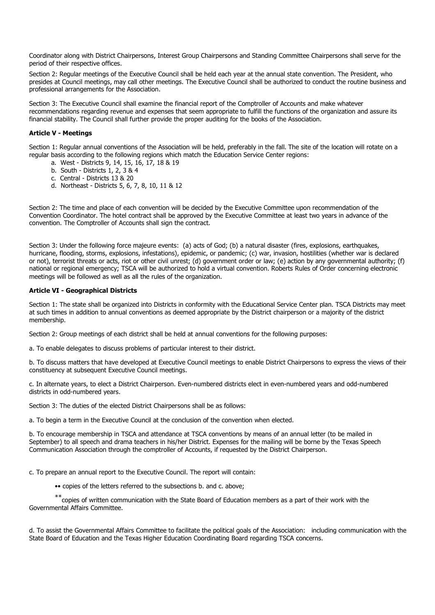Coordinator along with District Chairpersons, Interest Group Chairpersons and Standing Committee Chairpersons shall serve for the period of their respective offices.

Section 2: Regular meetings of the Executive Council shall be held each year at the annual state convention. The President, who presides at Council meetings, may call other meetings. The Executive Council shall be authorized to conduct the routine business and professional arrangements for the Association.

Section 3: The Executive Council shall examine the financial report of the Comptroller of Accounts and make whatever recommendations regarding revenue and expenses that seem appropriate to fulfill the functions of the organization and assure its financial stability. The Council shall further provide the proper auditing for the books of the Association.

# **Article V - Meetings**

Section 1: Regular annual conventions of the Association will be held, preferably in the fall. The site of the location will rotate on a regular basis according to the following regions which match the Education Service Center regions:

- a. West Districts 9, 14, 15, 16, 17, 18 & 19
- b. South Districts 1, 2, 3 & 4
- c. Central Districts 13 & 20
- d. Northeast Districts 5, 6, 7, 8, 10, 11 & 12

Section 2: The time and place of each convention will be decided by the Executive Committee upon recommendation of the Convention Coordinator. The hotel contract shall be approved by the Executive Committee at least two years in advance of the convention. The Comptroller of Accounts shall sign the contract.

Section 3: Under the following force majeure events: (a) acts of God; (b) a natural disaster (fires, explosions, earthquakes, hurricane, flooding, storms, explosions, infestations), epidemic, or pandemic; (c) war, invasion, hostilities (whether war is declared or not), terrorist threats or acts, riot or other civil unrest; (d) government order or law; (e) action by any governmental authority; (f) national or regional emergency; TSCA will be authorized to hold a virtual convention. Roberts Rules of Order concerning electronic meetings will be followed as well as all the rules of the organization.

# **Article VI - Geographical Districts**

Section 1: The state shall be organized into Districts in conformity with the Educational Service Center plan. TSCA Districts may meet at such times in addition to annual conventions as deemed appropriate by the District chairperson or a majority of the district membership.

Section 2: Group meetings of each district shall be held at annual conventions for the following purposes:

a. To enable delegates to discuss problems of particular interest to their district.

b. To discuss matters that have developed at Executive Council meetings to enable District Chairpersons to express the views of their constituency at subsequent Executive Council meetings.

c. In alternate years, to elect a District Chairperson. Even-numbered districts elect in even-numbered years and odd-numbered districts in odd-numbered years.

Section 3: The duties of the elected District Chairpersons shall be as follows:

a. To begin a term in the Executive Council at the conclusion of the convention when elected.

b. To encourage membership in TSCA and attendance at TSCA conventions by means of an annual letter (to be mailed in September) to all speech and drama teachers in his/her District. Expenses for the mailing will be borne by the Texas Speech Communication Association through the comptroller of Accounts, if requested by the District Chairperson.

c. To prepare an annual report to the Executive Council. The report will contain:

•• copies of the letters referred to the subsections b. and c. above;

\*\*copies of written communication with the State Board of Education members as a part of their work with the Governmental Affairs Committee.

d. To assist the Governmental Affairs Committee to facilitate the political goals of the Association: including communication with the State Board of Education and the Texas Higher Education Coordinating Board regarding TSCA concerns.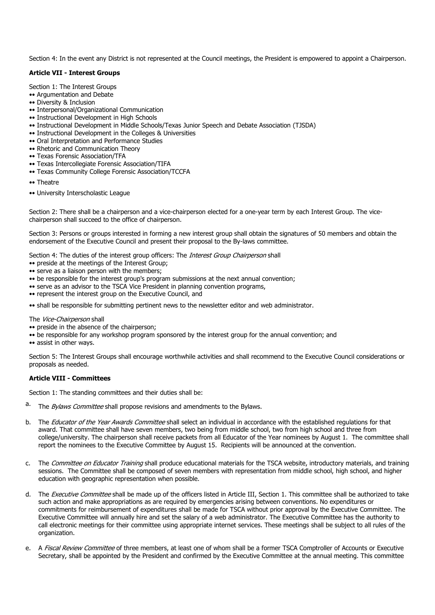Section 4: In the event any District is not represented at the Council meetings, the President is empowered to appoint a Chairperson.

### **Article VII - Interest Groups**

Section 1: The Interest Groups

- •• Argumentation and Debate
- •• Diversity & Inclusion
- •• Interpersonal/Organizational Communication
- •• Instructional Development in High Schools
- •• Instructional Development in Middle Schools/Texas Junior Speech and Debate Association (TJSDA)
- •• Instructional Development in the Colleges & Universities
- •• Oral Interpretation and Performance Studies
- •• Rhetoric and Communication Theory
- •• Texas Forensic Association/TFA
- •• Texas Intercollegiate Forensic Association/TIFA
- •• Texas Community College Forensic Association/TCCFA
- •• Theatre
- •• University Interscholastic League

Section 2: There shall be a chairperson and a vice-chairperson elected for a one-year term by each Interest Group. The vicechairperson shall succeed to the office of chairperson.

Section 3: Persons or groups interested in forming a new interest group shall obtain the signatures of 50 members and obtain the endorsement of the Executive Council and present their proposal to the By-laws committee.

Section 4: The duties of the interest group officers: The Interest Group Chairperson shall

- •• preside at the meetings of the Interest Group;
- •• serve as a liaison person with the members;
- •• be responsible for the interest group's program submissions at the next annual convention;
- •• serve as an advisor to the TSCA Vice President in planning convention programs,
- •• represent the interest group on the Executive Council, and

•• shall be responsible for submitting pertinent news to the newsletter editor and web administrator.

The Vice-Chairperson shall

- •• preside in the absence of the chairperson;
- •• be responsible for any workshop program sponsored by the interest group for the annual convention; and
- •• assist in other ways.

Section 5: The Interest Groups shall encourage worthwhile activities and shall recommend to the Executive Council considerations or proposals as needed.

# **Article VIII - Committees**

Section 1: The standing committees and their duties shall be:

- a. The *Bylaws Committee* shall propose revisions and amendments to the Bylaws.
- b. The Educator of the Year Awards Committee shall select an individual in accordance with the established regulations for that award. That committee shall have seven members, two being from middle school, two from high school and three from college/university. The chairperson shall receive packets from all Educator of the Year nominees by August 1. The committee shall report the nominees to the Executive Committee by August 15. Recipients will be announced at the convention.
- c. The Committee on Educator Training shall produce educational materials for the TSCA website, introductory materials, and training sessions. The Committee shall be composed of seven members with representation from middle school, high school, and higher education with geographic representation when possible.
- d. The *Executive Committee* shall be made up of the officers listed in Article III, Section 1. This committee shall be authorized to take such action and make appropriations as are required by emergencies arising between conventions. No expenditures or commitments for reimbursement of expenditures shall be made for TSCA without prior approval by the Executive Committee. The Executive Committee will annually hire and set the salary of a web administrator. The Executive Committee has the authority to call electronic meetings for their committee using appropriate internet services. These meetings shall be subject to all rules of the organization.
- e. A Fiscal Review Committee of three members, at least one of whom shall be a former TSCA Comptroller of Accounts or Executive Secretary, shall be appointed by the President and confirmed by the Executive Committee at the annual meeting. This committee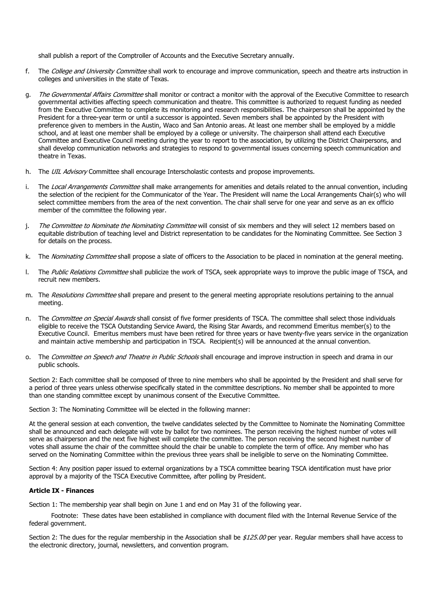shall publish a report of the Comptroller of Accounts and the Executive Secretary annually.

- f. The *College and University Committee* shall work to encourage and improve communication, speech and theatre arts instruction in colleges and universities in the state of Texas.
- g. The Governmental Affairs Committee shall monitor or contract a monitor with the approval of the Executive Committee to research governmental activities affecting speech communication and theatre. This committee is authorized to request funding as needed from the Executive Committee to complete its monitoring and research responsibilities. The chairperson shall be appointed by the President for a three-year term or until a successor is appointed. Seven members shall be appointed by the President with preference given to members in the Austin, Waco and San Antonio areas. At least one member shall be employed by a middle school, and at least one member shall be employed by a college or university. The chairperson shall attend each Executive Committee and Executive Council meeting during the year to report to the association, by utilizing the District Chairpersons, and shall develop communication networks and strategies to respond to governmental issues concerning speech communication and theatre in Texas.
- h. The UIL Advisory Committee shall encourage Interscholastic contests and propose improvements.
- i. The Local Arrangements Committee shall make arrangements for amenities and details related to the annual convention, including the selection of the recipient for the Communicator of the Year. The President will name the Local Arrangements Chair(s) who will select committee members from the area of the next convention. The chair shall serve for one year and serve as an ex officio member of the committee the following year.
- j. The Committee to Nominate the Nominating Committee will consist of six members and they will select 12 members based on equitable distribution of teaching level and District representation to be candidates for the Nominating Committee. See Section 3 for details on the process.
- k. The *Nominating Committee* shall propose a slate of officers to the Association to be placed in nomination at the general meeting.
- I. The Public Relations Committee shall publicize the work of TSCA, seek appropriate ways to improve the public image of TSCA, and recruit new members.
- m. The Resolutions Committee shall prepare and present to the general meeting appropriate resolutions pertaining to the annual meeting.
- n. The Committee on Special Awards shall consist of five former presidents of TSCA. The committee shall select those individuals eligible to receive the TSCA Outstanding Service Award, the Rising Star Awards, and recommend Emeritus member(s) to the Executive Council. Emeritus members must have been retired for three years or have twenty-five years service in the organization and maintain active membership and participation in TSCA. Recipient(s) will be announced at the annual convention.
- o. The Committee on Speech and Theatre in Public Schools shall encourage and improve instruction in speech and drama in our public schools.

Section 2: Each committee shall be composed of three to nine members who shall be appointed by the President and shall serve for a period of three years unless otherwise specifically stated in the committee descriptions. No member shall be appointed to more than one standing committee except by unanimous consent of the Executive Committee.

Section 3: The Nominating Committee will be elected in the following manner:

At the general session at each convention, the twelve candidates selected by the Committee to Nominate the Nominating Committee shall be announced and each delegate will vote by ballot for two nominees. The person receiving the highest number of votes will serve as chairperson and the next five highest will complete the committee. The person receiving the second highest number of votes shall assume the chair of the committee should the chair be unable to complete the term of office. Any member who has served on the Nominating Committee within the previous three years shall be ineligible to serve on the Nominating Committee.

Section 4: Any position paper issued to external organizations by a TSCA committee bearing TSCA identification must have prior approval by a majority of the TSCA Executive Committee, after polling by President.

### **Article IX - Finances**

Section 1: The membership year shall begin on June 1 and end on May 31 of the following year.

 Footnote: These dates have been established in compliance with document filed with the Internal Revenue Service of the federal government.

Section 2: The dues for the regular membership in the Association shall be \$125.00 per year. Regular members shall have access to the electronic directory, journal, newsletters, and convention program.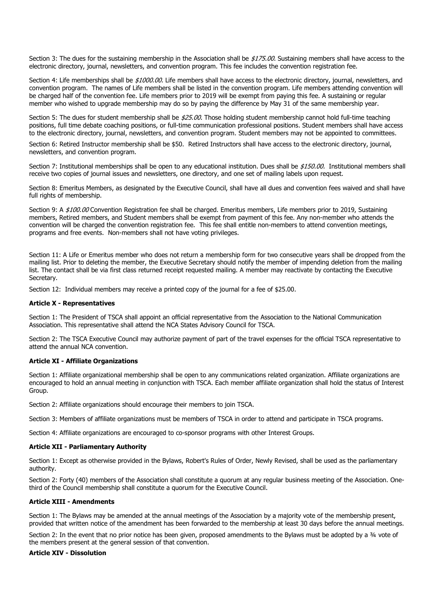Section 3: The dues for the sustaining membership in the Association shall be \$175.00. Sustaining members shall have access to the electronic directory, journal, newsletters, and convention program. This fee includes the convention registration fee.

Section 4: Life memberships shall be \$1000.00. Life members shall have access to the electronic directory, journal, newsletters, and convention program. The names of Life members shall be listed in the convention program. Life members attending convention will be charged half of the convention fee. Life members prior to 2019 will be exempt from paying this fee. A sustaining or regular member who wished to upgrade membership may do so by paying the difference by May 31 of the same membership year.

Section 5: The dues for student membership shall be \$25.00. Those holding student membership cannot hold full-time teaching positions, full time debate coaching positions, or full-time communication professional positions. Student members shall have access to the electronic directory, journal, newsletters, and convention program. Student members may not be appointed to committees.

Section 6: Retired Instructor membership shall be \$50. Retired Instructors shall have access to the electronic directory, journal, newsletters, and convention program.

Section 7: Institutional memberships shall be open to any educational institution. Dues shall be \$150.00. Institutional members shall receive two copies of journal issues and newsletters, one directory, and one set of mailing labels upon request.

Section 8: Emeritus Members, as designated by the Executive Council, shall have all dues and convention fees waived and shall have full rights of membership.

Section 9: A \$100.00 Convention Registration fee shall be charged. Emeritus members, Life members prior to 2019, Sustaining members, Retired members, and Student members shall be exempt from payment of this fee. Any non-member who attends the convention will be charged the convention registration fee. This fee shall entitle non-members to attend convention meetings, programs and free events. Non-members shall not have voting privileges.

Section 11: A Life or Emeritus member who does not return a membership form for two consecutive years shall be dropped from the mailing list. Prior to deleting the member, the Executive Secretary should notify the member of impending deletion from the mailing list. The contact shall be via first class returned receipt requested mailing. A member may reactivate by contacting the Executive Secretary.

Section 12: Individual members may receive a printed copy of the journal for a fee of \$25.00.

### **Article X - Representatives**

Section 1: The President of TSCA shall appoint an official representative from the Association to the National Communication Association. This representative shall attend the NCA States Advisory Council for TSCA.

Section 2: The TSCA Executive Council may authorize payment of part of the travel expenses for the official TSCA representative to attend the annual NCA convention.

#### **Article XI - Affiliate Organizations**

Section 1: Affiliate organizational membership shall be open to any communications related organization. Affiliate organizations are encouraged to hold an annual meeting in conjunction with TSCA. Each member affiliate organization shall hold the status of Interest Group.

Section 2: Affiliate organizations should encourage their members to join TSCA.

Section 3: Members of affiliate organizations must be members of TSCA in order to attend and participate in TSCA programs.

Section 4: Affiliate organizations are encouraged to co-sponsor programs with other Interest Groups.

#### **Article XII - Parliamentary Authority**

Section 1: Except as otherwise provided in the Bylaws, Robert's Rules of Order, Newly Revised, shall be used as the parliamentary authority.

Section 2: Forty (40) members of the Association shall constitute a quorum at any regular business meeting of the Association. Onethird of the Council membership shall constitute a quorum for the Executive Council.

### **Article XIII - Amendments**

Section 1: The Bylaws may be amended at the annual meetings of the Association by a majority vote of the membership present, provided that written notice of the amendment has been forwarded to the membership at least 30 days before the annual meetings.

Section 2: In the event that no prior notice has been given, proposed amendments to the Bylaws must be adopted by a 34 vote of the members present at the general session of that convention.

#### **Article XIV - Dissolution**